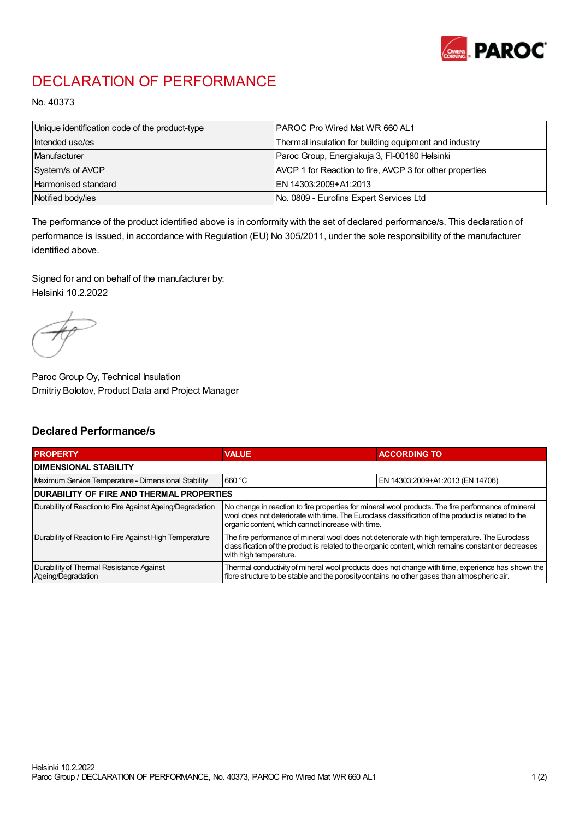

## DECLARATION OF PERFORMANCE

No. 40373

| Unique identification code of the product-type | <b>IPAROC Pro Wired Mat WR 660 AL1</b>                   |
|------------------------------------------------|----------------------------------------------------------|
| Intended use/es                                | Thermal insulation for building equipment and industry   |
| Manufacturer                                   | Paroc Group, Energiakuja 3, FI-00180 Helsinki            |
| System/s of AVCP                               | AVCP 1 for Reaction to fire, AVCP 3 for other properties |
| Harmonised standard                            | IEN 14303:2009+A1:2013                                   |
| Notified body/ies                              | No. 0809 - Eurofins Expert Services Ltd                  |

The performance of the product identified above is in conformity with the set of declared performance/s. This declaration of performance is issued, in accordance with Regulation (EU) No 305/2011, under the sole responsibility of the manufacturer identified above.

Signed for and on behalf of the manufacturer by: Helsinki 10.2.2022

Paroc Group Oy, Technical Insulation Dmitriy Bolotov, Product Data and Project Manager

## Declared Performance/s

| <b>PROPERTY</b>                                                | <b>VALUE</b>                                                                                                                                                                                                                                                   | <b>ACCORDING TO.</b>             |  |
|----------------------------------------------------------------|----------------------------------------------------------------------------------------------------------------------------------------------------------------------------------------------------------------------------------------------------------------|----------------------------------|--|
| <b>DIMENSIONAL STABILITY</b>                                   |                                                                                                                                                                                                                                                                |                                  |  |
| Maximum Service Temperature - Dimensional Stability            | 660 °C                                                                                                                                                                                                                                                         | EN 14303:2009+A1:2013 (EN 14706) |  |
| <b>DURABILITY OF FIRE AND THERMAL PROPERTIES</b>               |                                                                                                                                                                                                                                                                |                                  |  |
| Durability of Reaction to Fire Against Ageing/Degradation      | No change in reaction to fire properties for mineral wool products. The fire performance of mineral<br>wool does not deteriorate with time. The Euroclass classification of the product is related to the<br>organic content, which cannot increase with time. |                                  |  |
| Durability of Reaction to Fire Against High Temperature        | The fire performance of mineral wool does not deteriorate with high temperature. The Euroclass<br>classification of the product is related to the organic content, which remains constant or decreases<br>with high temperature.                               |                                  |  |
| Durability of Thermal Resistance Against<br>Ageing/Degradation | Thermal conductivity of mineral wool products does not change with time, experience has shown the<br>fibre structure to be stable and the porosity contains no other gases than atmospheric air.                                                               |                                  |  |